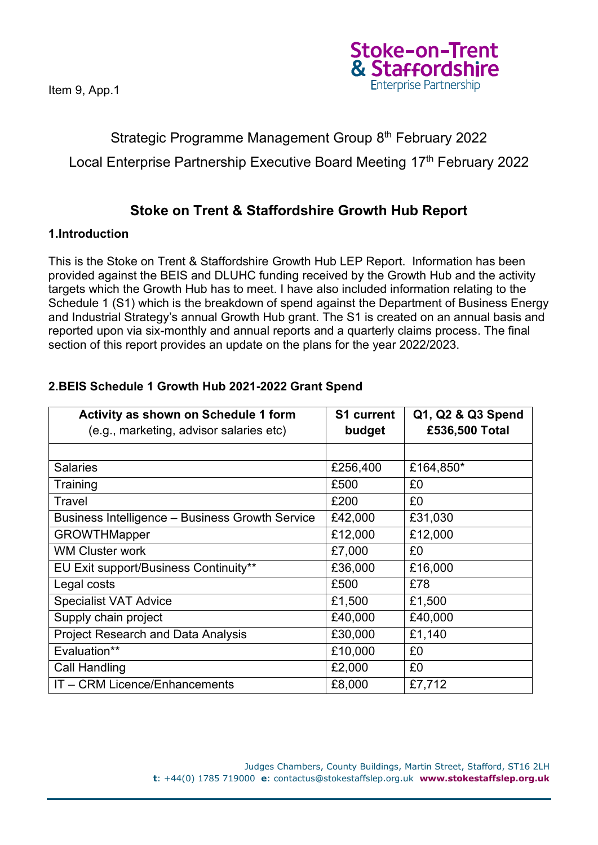

# Strategic Programme Management Group 8<sup>th</sup> February 2022 Local Enterprise Partnership Executive Board Meeting 17th February 2022

# **Stoke on Trent & Staffordshire Growth Hub Report**

#### **1.Introduction**

This is the Stoke on Trent & Staffordshire Growth Hub LEP Report. Information has been provided against the BEIS and DLUHC funding received by the Growth Hub and the activity targets which the Growth Hub has to meet. I have also included information relating to the Schedule 1 (S1) which is the breakdown of spend against the Department of Business Energy and Industrial Strategy's annual Growth Hub grant. The S1 is created on an annual basis and reported upon via six-monthly and annual reports and a quarterly claims process. The final section of this report provides an update on the plans for the year 2022/2023.

| <b>Activity as shown on Schedule 1 form</b>     | <b>S1 current</b> | Q1, Q2 & Q3 Spend |
|-------------------------------------------------|-------------------|-------------------|
| (e.g., marketing, advisor salaries etc)         | budget            | £536,500 Total    |
|                                                 |                   |                   |
| <b>Salaries</b>                                 | £256,400          | £164,850*         |
| Training                                        | £500              | £0                |
| Travel                                          | £200              | £0                |
| Business Intelligence - Business Growth Service | £42,000           | £31,030           |
| <b>GROWTHMapper</b>                             | £12,000           | £12,000           |
| <b>WM Cluster work</b>                          | £7,000            | £0                |
| EU Exit support/Business Continuity**           | £36,000           | £16,000           |
| Legal costs                                     | £500              | £78               |
| <b>Specialist VAT Advice</b>                    | £1,500            | £1,500            |
| Supply chain project                            | £40,000           | £40,000           |
| <b>Project Research and Data Analysis</b>       | £30,000           | £1,140            |
| Evaluation**                                    | £10,000           | £0                |
| <b>Call Handling</b>                            | £2,000            | £0                |
| IT - CRM Licence/Enhancements                   | £8,000            | £7,712            |

### **2.BEIS Schedule 1 Growth Hub 2021-2022 Grant Spend**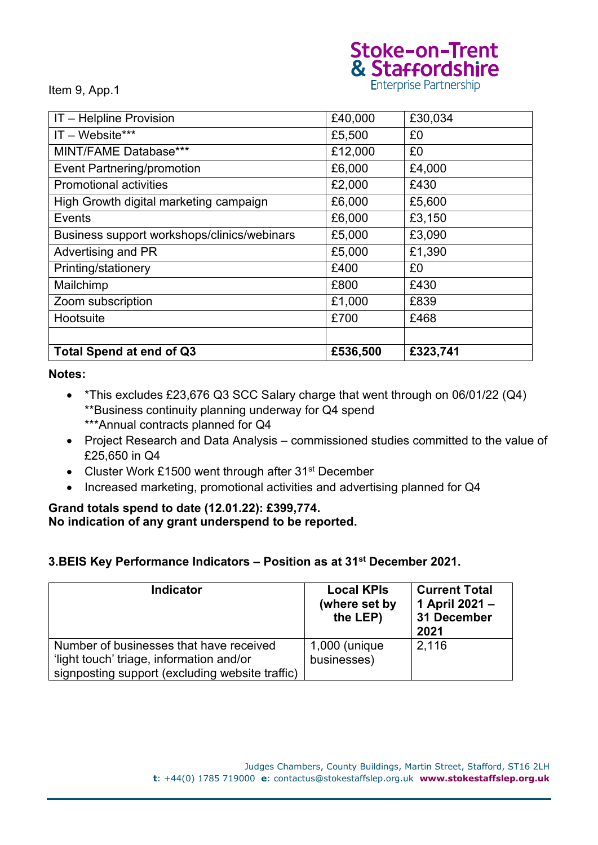# Stoke-on-Trent<br>& Staffordshire

Item 9, App.1

| IT - Helpline Provision                     | £40,000  | £30,034  |
|---------------------------------------------|----------|----------|
| $IT - Website***$                           | £5,500   | £0       |
| MINT/FAME Database***                       | £12,000  | £0       |
| <b>Event Partnering/promotion</b>           | £6,000   | £4,000   |
| <b>Promotional activities</b>               | £2,000   | £430     |
| High Growth digital marketing campaign      | £6,000   | £5,600   |
| Events                                      | £6,000   | £3,150   |
| Business support workshops/clinics/webinars | £5,000   | £3,090   |
| Advertising and PR                          | £5,000   | £1,390   |
| Printing/stationery                         | £400     | £0       |
| Mailchimp                                   | £800     | £430     |
| Zoom subscription                           | £1,000   | £839     |
| Hootsuite                                   | £700     | £468     |
|                                             |          |          |
| <b>Total Spend at end of Q3</b>             | £536,500 | £323,741 |

#### **Notes:**

- \*This excludes £23,676 Q3 SCC Salary charge that went through on 06/01/22 (Q4) \*\*Business continuity planning underway for Q4 spend \*\*\*Annual contracts planned for Q4
- Project Research and Data Analysis commissioned studies committed to the value of £25,650 in Q4
- Cluster Work £1500 went through after 31<sup>st</sup> December
- Increased marketing, promotional activities and advertising planned for Q4

#### **Grand totals spend to date (12.01.22): £399,774. No indication of any grant underspend to be reported.**

#### **3.BEIS Key Performance Indicators – Position as at 31st December 2021.**

| <b>Indicator</b>                                                                                                                       | <b>Local KPIs</b><br>(where set by<br>the LEP) | <b>Current Total</b><br>1 April 2021 -<br>31 December<br>2021 |
|----------------------------------------------------------------------------------------------------------------------------------------|------------------------------------------------|---------------------------------------------------------------|
| Number of businesses that have received<br>'light touch' triage, information and/or<br>signposting support (excluding website traffic) | $1,000$ (unique<br>businesses)                 | 2,116                                                         |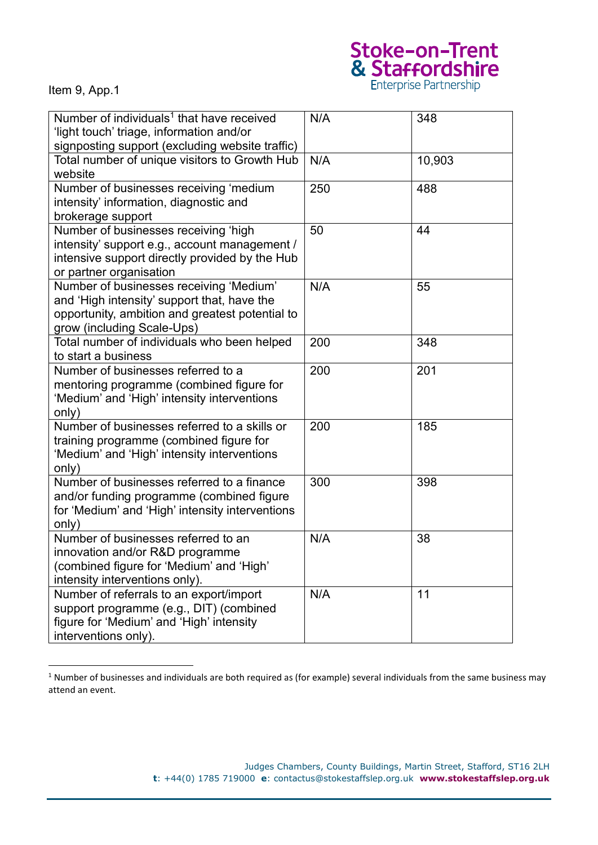# Stoke-on-Trent<br>& Staffordshire<br>Enterprise Partnership

Item 9, App.1

| Number of individuals <sup>1</sup> that have received<br>'light touch' triage, information and/or<br>signposting support (excluding website traffic)                    | N/A | 348    |
|-------------------------------------------------------------------------------------------------------------------------------------------------------------------------|-----|--------|
| Total number of unique visitors to Growth Hub<br>website                                                                                                                | N/A | 10,903 |
| Number of businesses receiving 'medium<br>intensity' information, diagnostic and<br>brokerage support                                                                   | 250 | 488    |
| Number of businesses receiving 'high<br>intensity' support e.g., account management /<br>intensive support directly provided by the Hub<br>or partner organisation      | 50  | 44     |
| Number of businesses receiving 'Medium'<br>and 'High intensity' support that, have the<br>opportunity, ambition and greatest potential to<br>grow (including Scale-Ups) | N/A | 55     |
| Total number of individuals who been helped<br>to start a business                                                                                                      | 200 | 348    |
| Number of businesses referred to a<br>mentoring programme (combined figure for<br>'Medium' and 'High' intensity interventions<br>only)                                  | 200 | 201    |
| Number of businesses referred to a skills or<br>training programme (combined figure for<br>'Medium' and 'High' intensity interventions<br>only)                         | 200 | 185    |
| Number of businesses referred to a finance<br>and/or funding programme (combined figure<br>for 'Medium' and 'High' intensity interventions<br>only)                     | 300 | 398    |
| Number of businesses referred to an<br>innovation and/or R&D programme<br>(combined figure for 'Medium' and 'High'<br>intensity interventions only).                    | N/A | 38     |
| Number of referrals to an export/import<br>support programme (e.g., DIT) (combined<br>figure for 'Medium' and 'High' intensity<br>interventions only).                  | N/A | 11     |

 $1$  Number of businesses and individuals are both required as (for example) several individuals from the same business may attend an event.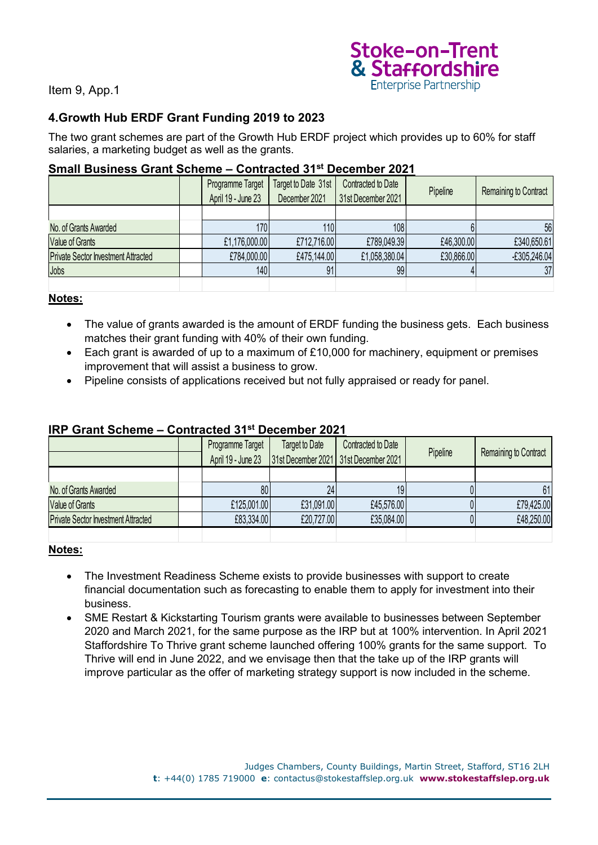

# **4.Growth Hub ERDF Grant Funding 2019 to 2023**

The two grant schemes are part of the Growth Hub ERDF project which provides up to 60% for staff salaries, a marketing budget as well as the grants.

#### **Small Business Grant Scheme – Contracted 31st December 2021**

|                                            | Programme Target<br>April 19 - June 23 | Target to Date 31st<br>December 2021 | Contracted to Date<br>31st December 2021 | Pipeline   | Remaining to Contract |
|--------------------------------------------|----------------------------------------|--------------------------------------|------------------------------------------|------------|-----------------------|
|                                            |                                        |                                      |                                          |            |                       |
| No. of Grants Awarded                      | 170                                    | 110                                  | 108                                      |            | 56                    |
| <b>Value of Grants</b>                     | £1,176,000.00                          | £712,716.00                          | £789,049.39                              | £46,300.00 | £340,650.61           |
| <b>Private Sector Investment Attracted</b> | £784,000.00                            | £475,144.00                          | £1,058,380.04                            | £30,866.00 | $-E305,246.04$        |
| Jobs                                       | 140                                    | 91                                   | 99                                       |            | 37                    |
|                                            |                                        |                                      |                                          |            |                       |

#### **Notes:**

- The value of grants awarded is the amount of ERDF funding the business gets. Each business matches their grant funding with 40% of their own funding.
- Each grant is awarded of up to a maximum of £10,000 for machinery, equipment or premises improvement that will assist a business to grow.
- Pipeline consists of applications received but not fully appraised or ready for panel.

|                                            | Programme Target<br>April 19 - June 23 | Target to Date | Contracted to Date<br>31st December 2021 31st December 2021 | Pipeline | Remaining to Contract |
|--------------------------------------------|----------------------------------------|----------------|-------------------------------------------------------------|----------|-----------------------|
|                                            |                                        |                |                                                             |          |                       |
| No. of Grants Awarded                      | 80 <sub>1</sub>                        | 24             | 19.                                                         |          | 61                    |
| <b>Value of Grants</b>                     | £125,001.00                            | £31,091.00     | £45,576.00                                                  |          | £79,425.00            |
| <b>Private Sector Investment Attracted</b> | £83,334.00                             | £20,727.00     | £35,084.00                                                  |          | £48,250.00            |
|                                            |                                        |                |                                                             |          |                       |

#### **IRP Grant Scheme – Contracted 31st December 2021**

#### **Notes:**

- The Investment Readiness Scheme exists to provide businesses with support to create financial documentation such as forecasting to enable them to apply for investment into their business.
- SME Restart & Kickstarting Tourism grants were available to businesses between September 2020 and March 2021, for the same purpose as the IRP but at 100% intervention. In April 2021 Staffordshire To Thrive grant scheme launched offering 100% grants for the same support. To Thrive will end in June 2022, and we envisage then that the take up of the IRP grants will improve particular as the offer of marketing strategy support is now included in the scheme.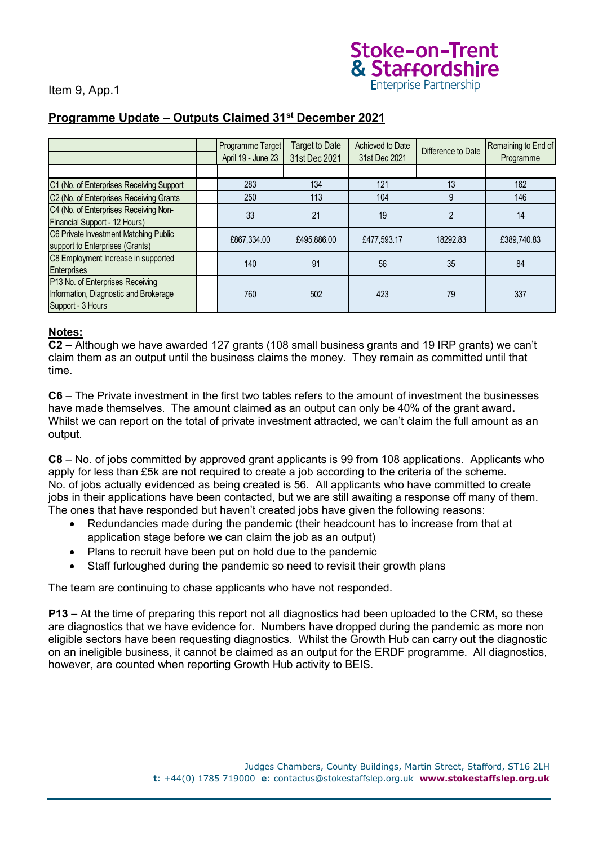

# **Programme Update – Outputs Claimed 31st December 2021**

|                                                                                                | Programme Target<br>April 19 - June 23 | Target to Date<br>31st Dec 2021 | Achieved to Date<br>31st Dec 2021 | Difference to Date | Remaining to End of<br>Programme |
|------------------------------------------------------------------------------------------------|----------------------------------------|---------------------------------|-----------------------------------|--------------------|----------------------------------|
|                                                                                                |                                        |                                 |                                   |                    |                                  |
| C1 (No. of Enterprises Receiving Support                                                       | 283                                    | 134                             | 121                               | 13                 | 162                              |
| C2 (No. of Enterprises Receiving Grants                                                        | 250                                    | 113                             | 104                               | 9                  | 146                              |
| C4 (No. of Enterprises Receiving Non-<br>Financial Support - 12 Hours)                         | 33                                     | 21                              | 19                                | $\mathfrak{p}$     | 14                               |
| C6 Private Investment Matching Public<br>support to Enterprises (Grants)                       | £867,334.00                            | £495,886,00                     | £477,593,17                       | 18292.83           | £389,740.83                      |
| C8 Employment Increase in supported<br><b>Enterprises</b>                                      | 140                                    | 91                              | 56                                | 35                 | 84                               |
| P13 No. of Enterprises Receiving<br>Information, Diagnostic and Brokerage<br>Support - 3 Hours | 760                                    | 502                             | 423                               | 79                 | 337                              |

#### **Notes:**

**C2 –** Although we have awarded 127 grants (108 small business grants and 19 IRP grants) we can't claim them as an output until the business claims the money. They remain as committed until that time.

**C6** – The Private investment in the first two tables refers to the amount of investment the businesses have made themselves. The amount claimed as an output can only be 40% of the grant award**.**  Whilst we can report on the total of private investment attracted, we can't claim the full amount as an output.

**C8** – No. of jobs committed by approved grant applicants is 99 from 108 applications. Applicants who apply for less than £5k are not required to create a job according to the criteria of the scheme. No. of jobs actually evidenced as being created is 56. All applicants who have committed to create jobs in their applications have been contacted, but we are still awaiting a response off many of them. The ones that have responded but haven't created jobs have given the following reasons:

- Redundancies made during the pandemic (their headcount has to increase from that at application stage before we can claim the job as an output)
- Plans to recruit have been put on hold due to the pandemic
- Staff furloughed during the pandemic so need to revisit their growth plans

The team are continuing to chase applicants who have not responded.

**P13 –** At the time of preparing this report not all diagnostics had been uploaded to the CRM**,** so these are diagnostics that we have evidence for. Numbers have dropped during the pandemic as more non eligible sectors have been requesting diagnostics. Whilst the Growth Hub can carry out the diagnostic on an ineligible business, it cannot be claimed as an output for the ERDF programme. All diagnostics, however, are counted when reporting Growth Hub activity to BEIS.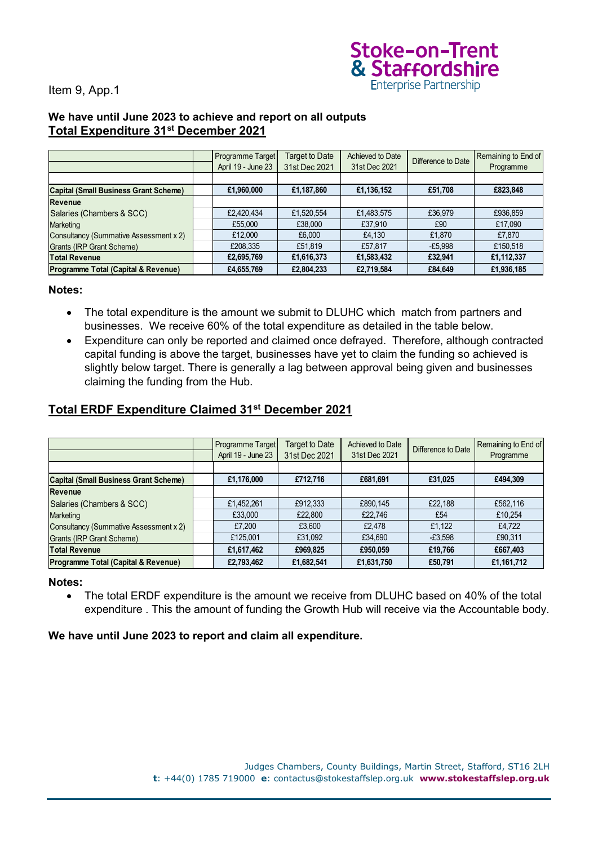

#### **We have until June 2023 to achieve and report on all outputs Total Expenditure 31st December 2021**

|                                               | Programme Target<br>April 19 - June 23 | <b>Target to Date</b><br>31st Dec 2021 | Achieved to Date<br>31st Dec 2021 | Difference to Date | Remaining to End of<br>Programme |
|-----------------------------------------------|----------------------------------------|----------------------------------------|-----------------------------------|--------------------|----------------------------------|
|                                               |                                        |                                        |                                   |                    |                                  |
| <b>Capital (Small Business Grant Scheme)</b>  | £1,960,000                             | £1,187,860                             | £1,136,152                        | £51,708            | £823,848                         |
| <b>Revenue</b>                                |                                        |                                        |                                   |                    |                                  |
| Salaries (Chambers & SCC)                     | £2,420,434                             | £1,520,554                             | £1,483,575                        | £36,979            | £936,859                         |
| <b>Marketing</b>                              | £55,000                                | £38,000                                | £37,910                           | £90                | £17,090                          |
| <b>Consultancy (Summative Assessment x 2)</b> | £12,000                                | £6,000                                 | £4,130                            | £1,870             | £7,870                           |
| Grants (IRP Grant Scheme)                     | £208,335                               | £51,819                                | £57,817                           | $-E5,998$          | £150,518                         |
| <b>Total Revenue</b>                          | £2,695,769                             | £1,616,373                             | £1,583,432                        | £32,941            | £1,112,337                       |
| Programme Total (Capital & Revenue)           | £4,655,769                             | £2,804,233                             | £2,719,584                        | £84,649            | £1,936,185                       |

#### **Notes:**

- The total expenditure is the amount we submit to DLUHC which match from partners and businesses. We receive 60% of the total expenditure as detailed in the table below.
- Expenditure can only be reported and claimed once defrayed. Therefore, although contracted capital funding is above the target, businesses have yet to claim the funding so achieved is slightly below target. There is generally a lag between approval being given and businesses claiming the funding from the Hub.

### **Total ERDF Expenditure Claimed 31st December 2021**

|                                                | Programme Target<br>April 19 - June 23 | Target to Date<br>31st Dec 2021 | Achieved to Date<br>31st Dec 2021 | Difference to Date | Remaining to End of<br>Programme |
|------------------------------------------------|----------------------------------------|---------------------------------|-----------------------------------|--------------------|----------------------------------|
|                                                |                                        |                                 |                                   |                    |                                  |
| <b>Capital (Small Business Grant Scheme)</b>   | £1,176,000                             | £712,716                        | £681,691                          | £31,025            | £494,309                         |
| <b>Revenue</b>                                 |                                        |                                 |                                   |                    |                                  |
| Salaries (Chambers & SCC)                      | £1,452,261                             | £912,333                        | £890,145                          | £22.188            | £562,116                         |
| <b>Marketing</b>                               | £33,000                                | £22,800                         | £22,746                           | £54                | £10,254                          |
| Consultancy (Summative Assessment x 2)         | £7,200                                 | £3,600                          | £2.478                            | £1.122             | £4,722                           |
| Grants (IRP Grant Scheme)                      | £125,001                               | £31,092                         | £34,690                           | $-£3,598$          | £90,311                          |
| <b>Total Revenue</b>                           | £1,617,462                             | £969,825                        | £950,059                          | £19,766            | £667,403                         |
| <b>Programme Total (Capital &amp; Revenue)</b> | £2.793.462                             | £1,682,541                      | £1,631,750                        | £50,791            | £1,161,712                       |

#### **Notes:**

• The total ERDF expenditure is the amount we receive from DLUHC based on 40% of the total expenditure . This the amount of funding the Growth Hub will receive via the Accountable body.

#### **We have until June 2023 to report and claim all expenditure.**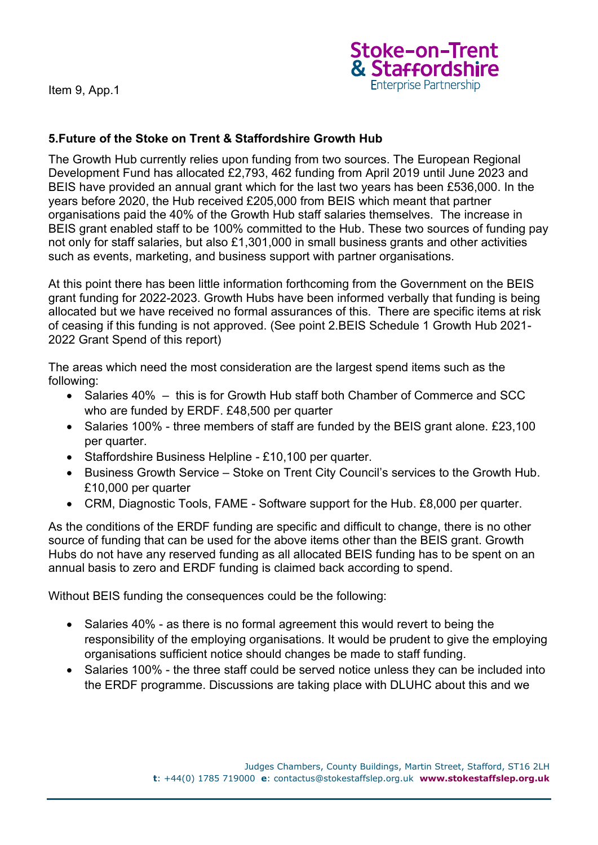

# **5.Future of the Stoke on Trent & Staffordshire Growth Hub**

The Growth Hub currently relies upon funding from two sources. The European Regional Development Fund has allocated £2,793, 462 funding from April 2019 until June 2023 and BEIS have provided an annual grant which for the last two years has been £536,000. In the years before 2020, the Hub received £205,000 from BEIS which meant that partner organisations paid the 40% of the Growth Hub staff salaries themselves. The increase in BEIS grant enabled staff to be 100% committed to the Hub. These two sources of funding pay not only for staff salaries, but also £1,301,000 in small business grants and other activities such as events, marketing, and business support with partner organisations.

At this point there has been little information forthcoming from the Government on the BEIS grant funding for 2022-2023. Growth Hubs have been informed verbally that funding is being allocated but we have received no formal assurances of this. There are specific items at risk of ceasing if this funding is not approved. (See point 2.BEIS Schedule 1 Growth Hub 2021- 2022 Grant Spend of this report)

The areas which need the most consideration are the largest spend items such as the following:

- Salaries 40% this is for Growth Hub staff both Chamber of Commerce and SCC who are funded by ERDF. £48,500 per quarter
- Salaries 100% three members of staff are funded by the BEIS grant alone. £23,100 per quarter.
- Staffordshire Business Helpline £10,100 per quarter.
- Business Growth Service Stoke on Trent City Council's services to the Growth Hub. £10,000 per quarter
- CRM, Diagnostic Tools, FAME Software support for the Hub. £8,000 per quarter.

As the conditions of the ERDF funding are specific and difficult to change, there is no other source of funding that can be used for the above items other than the BEIS grant. Growth Hubs do not have any reserved funding as all allocated BEIS funding has to be spent on an annual basis to zero and ERDF funding is claimed back according to spend.

Without BEIS funding the consequences could be the following:

- Salaries 40% as there is no formal agreement this would revert to being the responsibility of the employing organisations. It would be prudent to give the employing organisations sufficient notice should changes be made to staff funding.
- Salaries 100% the three staff could be served notice unless they can be included into the ERDF programme. Discussions are taking place with DLUHC about this and we